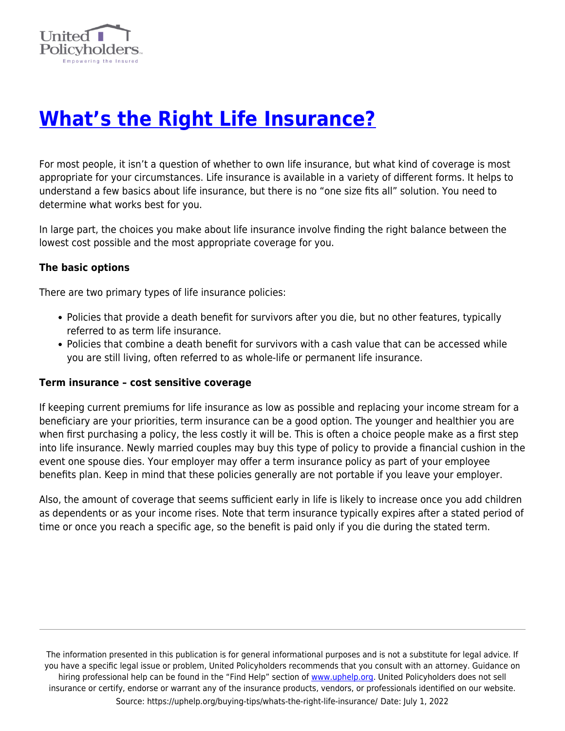

## **[What's the Right Life Insurance?](https://uphelp.org/buying-tips/whats-the-right-life-insurance/)**

For most people, it isn't a question of whether to own life insurance, but what kind of coverage is most appropriate for your circumstances. Life insurance is available in a variety of different forms. It helps to understand a few basics about life insurance, but there is no "one size fits all" solution. You need to determine what works best for you.

In large part, the choices you make about life insurance involve finding the right balance between the lowest cost possible and the most appropriate coverage for you.

## **The basic options**

There are two primary types of life insurance policies:

- Policies that provide a death benefit for survivors after you die, but no other features, typically referred to as term life insurance.
- Policies that combine a death benefit for survivors with a cash value that can be accessed while you are still living, often referred to as whole-life or permanent life insurance.

## **Term insurance – cost sensitive coverage**

If keeping current premiums for life insurance as low as possible and replacing your income stream for a beneficiary are your priorities, term insurance can be a good option. The younger and healthier you are when first purchasing a policy, the less costly it will be. This is often a choice people make as a first step into life insurance. Newly married couples may buy this type of policy to provide a financial cushion in the event one spouse dies. Your employer may offer a term insurance policy as part of your employee benefits plan. Keep in mind that these policies generally are not portable if you leave your employer.

Also, the amount of coverage that seems sufficient early in life is likely to increase once you add children as dependents or as your income rises. Note that term insurance typically expires after a stated period of time or once you reach a specific age, so the benefit is paid only if you die during the stated term.

The information presented in this publication is for general informational purposes and is not a substitute for legal advice. If you have a specific legal issue or problem, United Policyholders recommends that you consult with an attorney. Guidance on hiring professional help can be found in the "Find Help" section of [www.uphelp.org.](http://www.uphelp.org/) United Policyholders does not sell insurance or certify, endorse or warrant any of the insurance products, vendors, or professionals identified on our website. Source: https://uphelp.org/buying-tips/whats-the-right-life-insurance/ Date: July 1, 2022